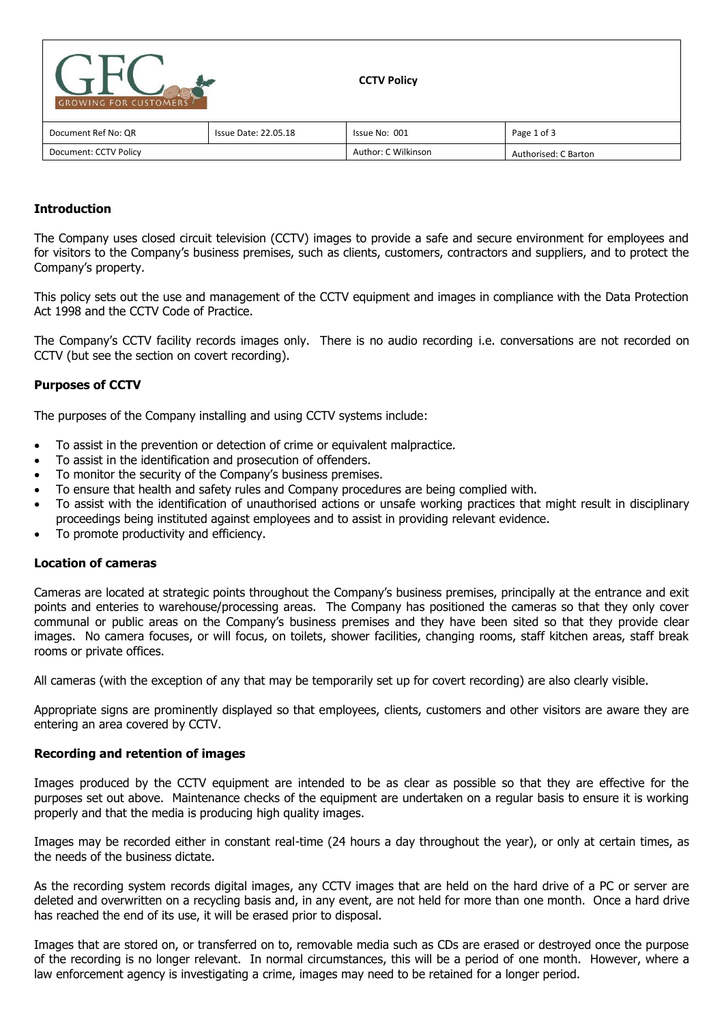| <b>GROWING FOR CUSTOMERS</b> |                             | <b>CCTV Policy</b>  |                      |
|------------------------------|-----------------------------|---------------------|----------------------|
| Document Ref No: QR          | <b>Issue Date: 22.05.18</b> | Issue No: 001       | Page 1 of 3          |
| Document: CCTV Policy        |                             | Author: C Wilkinson | Authorised: C Barton |

# **Introduction**

The Company uses closed circuit television (CCTV) images to provide a safe and secure environment for employees and for visitors to the Company's business premises, such as clients, customers, contractors and suppliers, and to protect the Company's property.

This policy sets out the use and management of the CCTV equipment and images in compliance with the Data Protection Act 1998 and the CCTV Code of Practice.

The Company's CCTV facility records images only. There is no audio recording i.e. conversations are not recorded on CCTV (but see the section on covert recording).

# **Purposes of CCTV**

The purposes of the Company installing and using CCTV systems include:

- To assist in the prevention or detection of crime or equivalent malpractice.
- To assist in the identification and prosecution of offenders.
- To monitor the security of the Company's business premises.
- To ensure that health and safety rules and Company procedures are being complied with.
- To assist with the identification of unauthorised actions or unsafe working practices that might result in disciplinary proceedings being instituted against employees and to assist in providing relevant evidence.
- To promote productivity and efficiency.

## **Location of cameras**

Cameras are located at strategic points throughout the Company's business premises, principally at the entrance and exit points and enteries to warehouse/processing areas. The Company has positioned the cameras so that they only cover communal or public areas on the Company's business premises and they have been sited so that they provide clear images. No camera focuses, or will focus, on toilets, shower facilities, changing rooms, staff kitchen areas, staff break rooms or private offices.

All cameras (with the exception of any that may be temporarily set up for covert recording) are also clearly visible.

Appropriate signs are prominently displayed so that employees, clients, customers and other visitors are aware they are entering an area covered by CCTV.

## **Recording and retention of images**

Images produced by the CCTV equipment are intended to be as clear as possible so that they are effective for the purposes set out above. Maintenance checks of the equipment are undertaken on a regular basis to ensure it is working properly and that the media is producing high quality images.

Images may be recorded either in constant real-time (24 hours a day throughout the year), or only at certain times, as the needs of the business dictate.

As the recording system records digital images, any CCTV images that are held on the hard drive of a PC or server are deleted and overwritten on a recycling basis and, in any event, are not held for more than one month. Once a hard drive has reached the end of its use, it will be erased prior to disposal.

Images that are stored on, or transferred on to, removable media such as CDs are erased or destroyed once the purpose of the recording is no longer relevant. In normal circumstances, this will be a period of one month. However, where a law enforcement agency is investigating a crime, images may need to be retained for a longer period.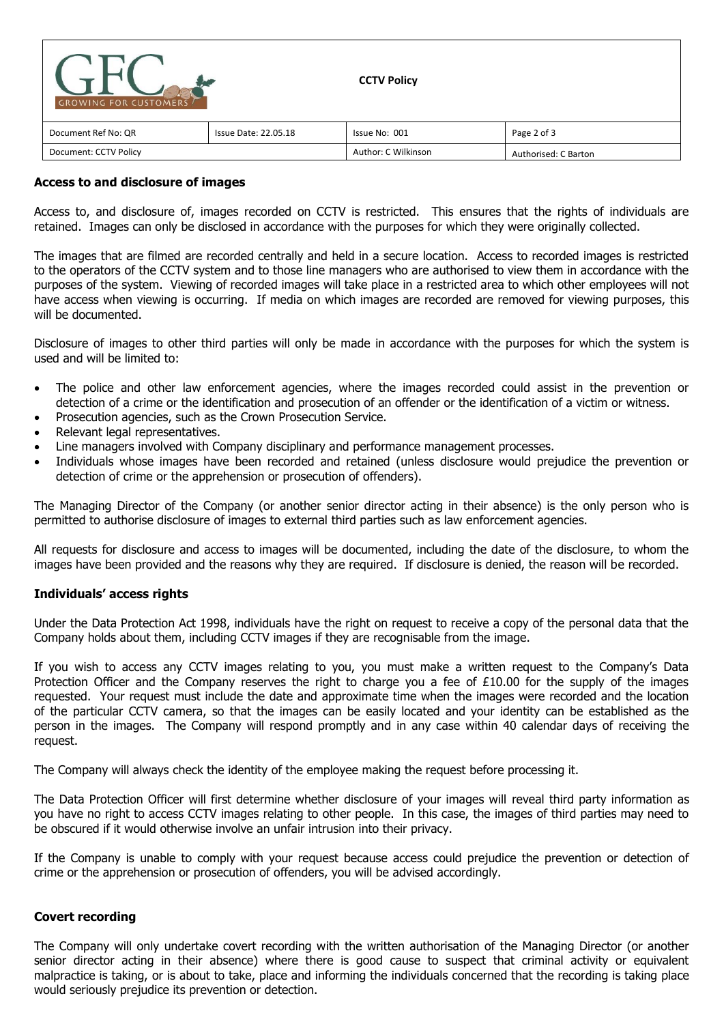| <b>GROWING FOR CUSTOMERS</b> |                             | <b>CCTV Policy</b>  |                      |
|------------------------------|-----------------------------|---------------------|----------------------|
| Document Ref No: QR          | <b>Issue Date: 22.05.18</b> | Issue No: 001       | Page 2 of 3          |
| Document: CCTV Policy        |                             | Author: C Wilkinson | Authorised: C Barton |

## **Access to and disclosure of images**

Access to, and disclosure of, images recorded on CCTV is restricted. This ensures that the rights of individuals are retained. Images can only be disclosed in accordance with the purposes for which they were originally collected.

The images that are filmed are recorded centrally and held in a secure location. Access to recorded images is restricted to the operators of the CCTV system and to those line managers who are authorised to view them in accordance with the purposes of the system. Viewing of recorded images will take place in a restricted area to which other employees will not have access when viewing is occurring. If media on which images are recorded are removed for viewing purposes, this will be documented.

Disclosure of images to other third parties will only be made in accordance with the purposes for which the system is used and will be limited to:

- The police and other law enforcement agencies, where the images recorded could assist in the prevention or detection of a crime or the identification and prosecution of an offender or the identification of a victim or witness.
- Prosecution agencies, such as the Crown Prosecution Service.
- Relevant legal representatives.
- Line managers involved with Company disciplinary and performance management processes.
- Individuals whose images have been recorded and retained (unless disclosure would prejudice the prevention or detection of crime or the apprehension or prosecution of offenders).

The Managing Director of the Company (or another senior director acting in their absence) is the only person who is permitted to authorise disclosure of images to external third parties such as law enforcement agencies.

All requests for disclosure and access to images will be documented, including the date of the disclosure, to whom the images have been provided and the reasons why they are required. If disclosure is denied, the reason will be recorded.

## **Individuals' access rights**

Under the Data Protection Act 1998, individuals have the right on request to receive a copy of the personal data that the Company holds about them, including CCTV images if they are recognisable from the image.

If you wish to access any CCTV images relating to you, you must make a written request to the Company's Data Protection Officer and the Company reserves the right to charge you a fee of  $£10.00$  for the supply of the images requested. Your request must include the date and approximate time when the images were recorded and the location of the particular CCTV camera, so that the images can be easily located and your identity can be established as the person in the images. The Company will respond promptly and in any case within 40 calendar days of receiving the request.

The Company will always check the identity of the employee making the request before processing it.

The Data Protection Officer will first determine whether disclosure of your images will reveal third party information as you have no right to access CCTV images relating to other people. In this case, the images of third parties may need to be obscured if it would otherwise involve an unfair intrusion into their privacy.

If the Company is unable to comply with your request because access could prejudice the prevention or detection of crime or the apprehension or prosecution of offenders, you will be advised accordingly.

## **Covert recording**

The Company will only undertake covert recording with the written authorisation of the Managing Director (or another senior director acting in their absence) where there is good cause to suspect that criminal activity or equivalent malpractice is taking, or is about to take, place and informing the individuals concerned that the recording is taking place would seriously prejudice its prevention or detection.